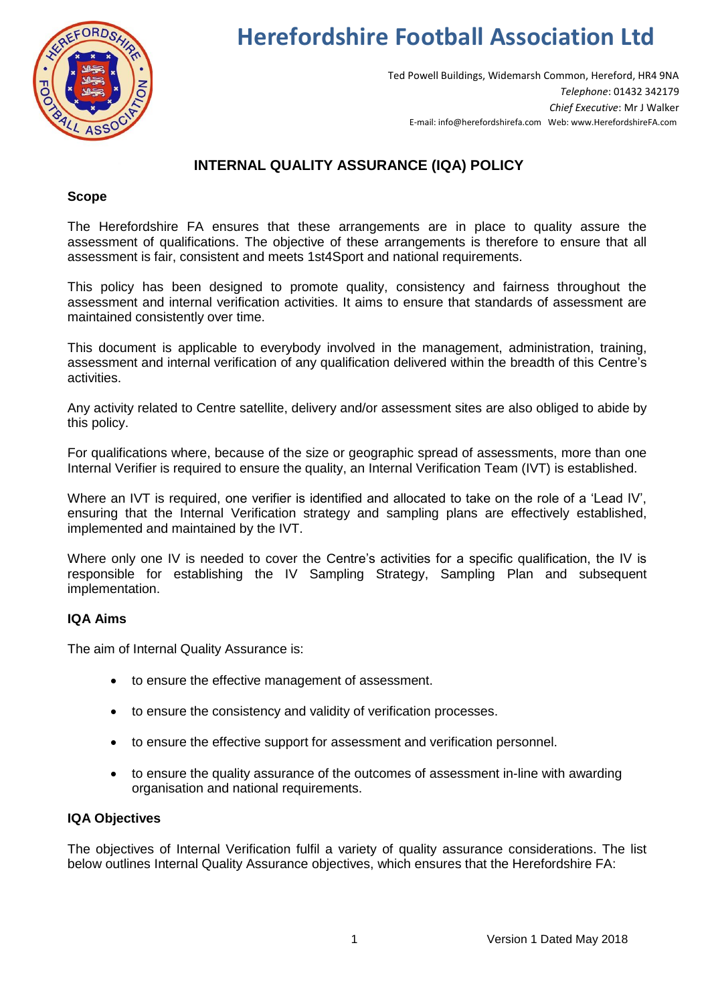

# **Herefordshire Football Association Ltd**

Ted Powell Buildings, Widemarsh Common, Hereford, HR4 9NA *Telephone*: 01432 342179 *Chief Executive*: Mr J Walker E-mail: info@herefordshirefa.com Web: www.HerefordshireFA.com

## **INTERNAL QUALITY ASSURANCE (IQA) POLICY**

### **Scope**

The Herefordshire FA ensures that these arrangements are in place to quality assure the assessment of qualifications. The objective of these arrangements is therefore to ensure that all assessment is fair, consistent and meets 1st4Sport and national requirements.

This policy has been designed to promote quality, consistency and fairness throughout the assessment and internal verification activities. It aims to ensure that standards of assessment are maintained consistently over time.

This document is applicable to everybody involved in the management, administration, training, assessment and internal verification of any qualification delivered within the breadth of this Centre's activities.

Any activity related to Centre satellite, delivery and/or assessment sites are also obliged to abide by this policy.

For qualifications where, because of the size or geographic spread of assessments, more than one Internal Verifier is required to ensure the quality, an Internal Verification Team (IVT) is established.

Where an IVT is required, one verifier is identified and allocated to take on the role of a 'Lead IV', ensuring that the Internal Verification strategy and sampling plans are effectively established, implemented and maintained by the IVT.

Where only one IV is needed to cover the Centre's activities for a specific qualification, the IV is responsible for establishing the IV Sampling Strategy, Sampling Plan and subsequent implementation.

### **IQA Aims**

The aim of Internal Quality Assurance is:

- to ensure the effective management of assessment.
- to ensure the consistency and validity of verification processes.
- to ensure the effective support for assessment and verification personnel.
- to ensure the quality assurance of the outcomes of assessment in-line with awarding organisation and national requirements.

### **IQA Objectives**

The objectives of Internal Verification fulfil a variety of quality assurance considerations. The list below outlines Internal Quality Assurance objectives, which ensures that the Herefordshire FA: